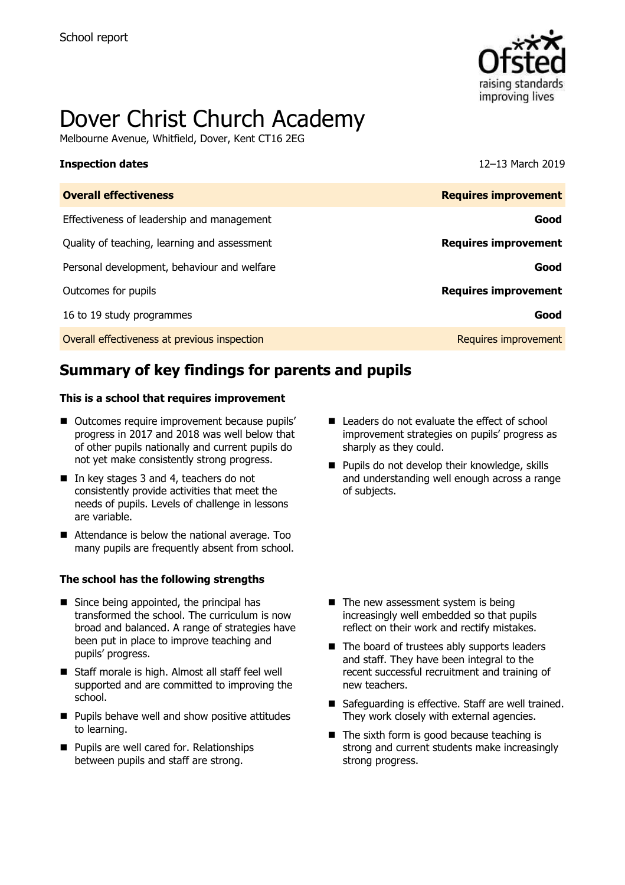

# Dover Christ Church Academy

Melbourne Avenue, Whitfield, Dover, Kent CT16 2EG

#### **Inspection dates** 12–13 March 2019

| <b>Overall effectiveness</b>                 | <b>Requires improvement</b> |
|----------------------------------------------|-----------------------------|
| Effectiveness of leadership and management   | Good                        |
| Quality of teaching, learning and assessment | <b>Requires improvement</b> |
| Personal development, behaviour and welfare  | Good                        |
| Outcomes for pupils                          | <b>Requires improvement</b> |
| 16 to 19 study programmes                    | Good                        |
| Overall effectiveness at previous inspection | Requires improvement        |

# **Summary of key findings for parents and pupils**

#### **This is a school that requires improvement**

- Outcomes require improvement because pupils' progress in 2017 and 2018 was well below that of other pupils nationally and current pupils do not yet make consistently strong progress.
- In key stages 3 and 4, teachers do not consistently provide activities that meet the needs of pupils. Levels of challenge in lessons are variable.
- Attendance is below the national average. Too many pupils are frequently absent from school.

#### **The school has the following strengths**

- Since being appointed, the principal has transformed the school. The curriculum is now broad and balanced. A range of strategies have been put in place to improve teaching and pupils' progress.
- Staff morale is high. Almost all staff feel well supported and are committed to improving the school.
- **Pupils behave well and show positive attitudes** to learning.
- **Pupils are well cared for. Relationships** between pupils and staff are strong.
- Leaders do not evaluate the effect of school improvement strategies on pupils' progress as sharply as they could.
- **Pupils do not develop their knowledge, skills** and understanding well enough across a range of subjects.

- $\blacksquare$  The new assessment system is being increasingly well embedded so that pupils reflect on their work and rectify mistakes.
- $\blacksquare$  The board of trustees ably supports leaders and staff. They have been integral to the recent successful recruitment and training of new teachers.
- Safeguarding is effective. Staff are well trained. They work closely with external agencies.
- The sixth form is good because teaching is strong and current students make increasingly strong progress.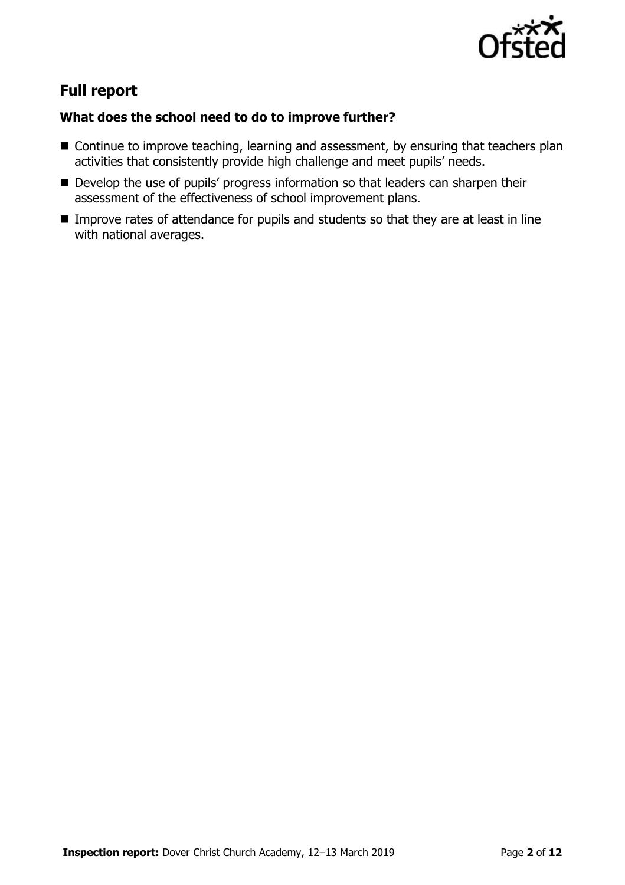

# **Full report**

### **What does the school need to do to improve further?**

- Continue to improve teaching, learning and assessment, by ensuring that teachers plan activities that consistently provide high challenge and meet pupils' needs.
- Develop the use of pupils' progress information so that leaders can sharpen their assessment of the effectiveness of school improvement plans.
- **IMPROVE rates of attendance for pupils and students so that they are at least in line** with national averages.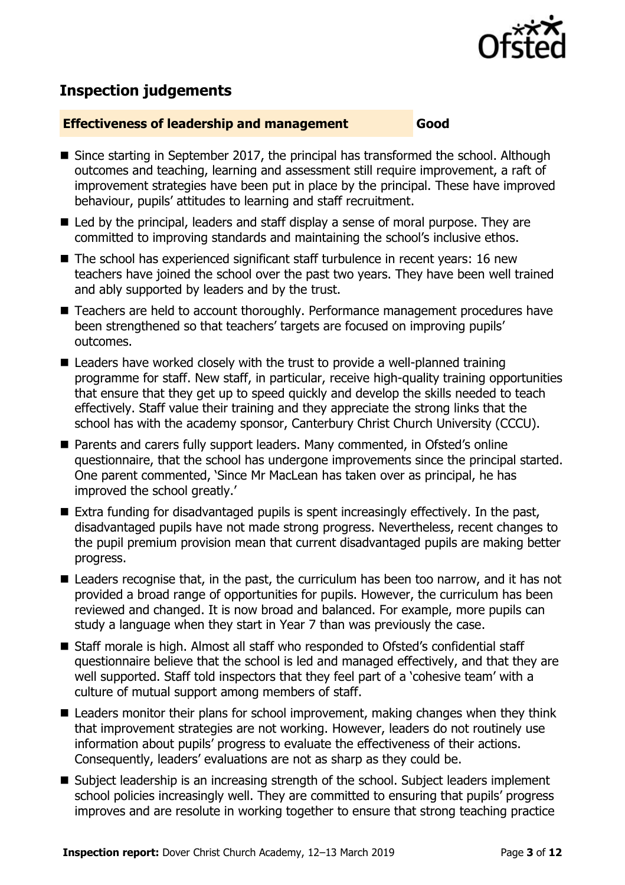

# **Inspection judgements**

#### **Effectiveness of leadership and management Good**

- Since starting in September 2017, the principal has transformed the school. Although outcomes and teaching, learning and assessment still require improvement, a raft of improvement strategies have been put in place by the principal. These have improved behaviour, pupils' attitudes to learning and staff recruitment.
- Led by the principal, leaders and staff display a sense of moral purpose. They are committed to improving standards and maintaining the school's inclusive ethos.
- The school has experienced significant staff turbulence in recent years: 16 new teachers have joined the school over the past two years. They have been well trained and ably supported by leaders and by the trust.
- Teachers are held to account thoroughly. Performance management procedures have been strengthened so that teachers' targets are focused on improving pupils' outcomes.
- Leaders have worked closely with the trust to provide a well-planned training programme for staff. New staff, in particular, receive high-quality training opportunities that ensure that they get up to speed quickly and develop the skills needed to teach effectively. Staff value their training and they appreciate the strong links that the school has with the academy sponsor, Canterbury Christ Church University (CCCU).
- Parents and carers fully support leaders. Many commented, in Ofsted's online questionnaire, that the school has undergone improvements since the principal started. One parent commented, 'Since Mr MacLean has taken over as principal, he has improved the school greatly.'
- $\blacksquare$  Extra funding for disadvantaged pupils is spent increasingly effectively. In the past, disadvantaged pupils have not made strong progress. Nevertheless, recent changes to the pupil premium provision mean that current disadvantaged pupils are making better progress.
- Leaders recognise that, in the past, the curriculum has been too narrow, and it has not provided a broad range of opportunities for pupils. However, the curriculum has been reviewed and changed. It is now broad and balanced. For example, more pupils can study a language when they start in Year 7 than was previously the case.
- Staff morale is high. Almost all staff who responded to Ofsted's confidential staff questionnaire believe that the school is led and managed effectively, and that they are well supported. Staff told inspectors that they feel part of a 'cohesive team' with a culture of mutual support among members of staff.
- Leaders monitor their plans for school improvement, making changes when they think that improvement strategies are not working. However, leaders do not routinely use information about pupils' progress to evaluate the effectiveness of their actions. Consequently, leaders' evaluations are not as sharp as they could be.
- Subject leadership is an increasing strength of the school. Subject leaders implement school policies increasingly well. They are committed to ensuring that pupils' progress improves and are resolute in working together to ensure that strong teaching practice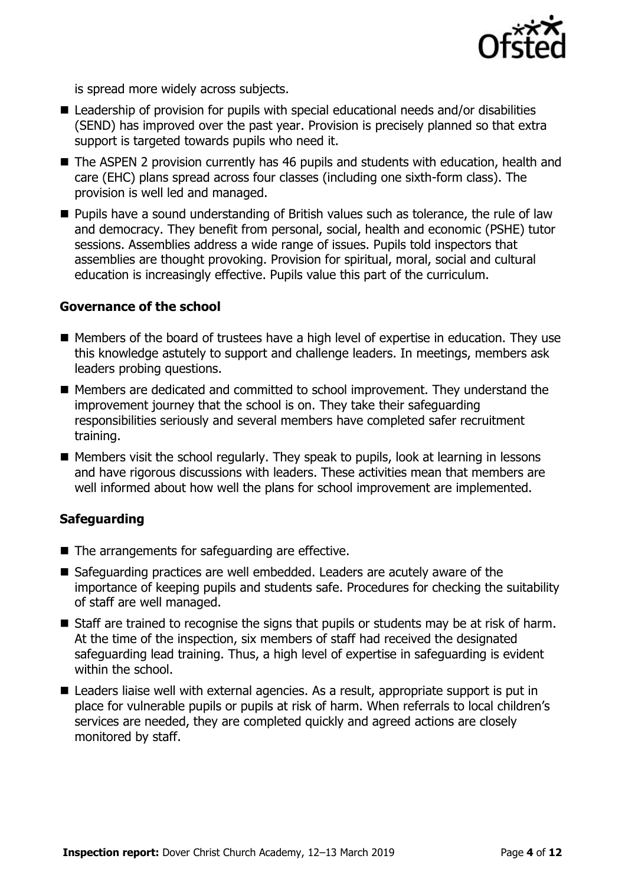

is spread more widely across subjects.

- Leadership of provision for pupils with special educational needs and/or disabilities (SEND) has improved over the past year. Provision is precisely planned so that extra support is targeted towards pupils who need it.
- The ASPEN 2 provision currently has 46 pupils and students with education, health and care (EHC) plans spread across four classes (including one sixth-form class). The provision is well led and managed.
- **Pupils have a sound understanding of British values such as tolerance, the rule of law** and democracy. They benefit from personal, social, health and economic (PSHE) tutor sessions. Assemblies address a wide range of issues. Pupils told inspectors that assemblies are thought provoking. Provision for spiritual, moral, social and cultural education is increasingly effective. Pupils value this part of the curriculum.

#### **Governance of the school**

- Members of the board of trustees have a high level of expertise in education. They use this knowledge astutely to support and challenge leaders. In meetings, members ask leaders probing questions.
- Members are dedicated and committed to school improvement. They understand the improvement journey that the school is on. They take their safeguarding responsibilities seriously and several members have completed safer recruitment training.
- $\blacksquare$  Members visit the school regularly. They speak to pupils, look at learning in lessons and have rigorous discussions with leaders. These activities mean that members are well informed about how well the plans for school improvement are implemented.

#### **Safeguarding**

- The arrangements for safeguarding are effective.
- Safeguarding practices are well embedded. Leaders are acutely aware of the importance of keeping pupils and students safe. Procedures for checking the suitability of staff are well managed.
- Staff are trained to recognise the signs that pupils or students may be at risk of harm. At the time of the inspection, six members of staff had received the designated safeguarding lead training. Thus, a high level of expertise in safeguarding is evident within the school.
- Leaders liaise well with external agencies. As a result, appropriate support is put in place for vulnerable pupils or pupils at risk of harm. When referrals to local children's services are needed, they are completed quickly and agreed actions are closely monitored by staff.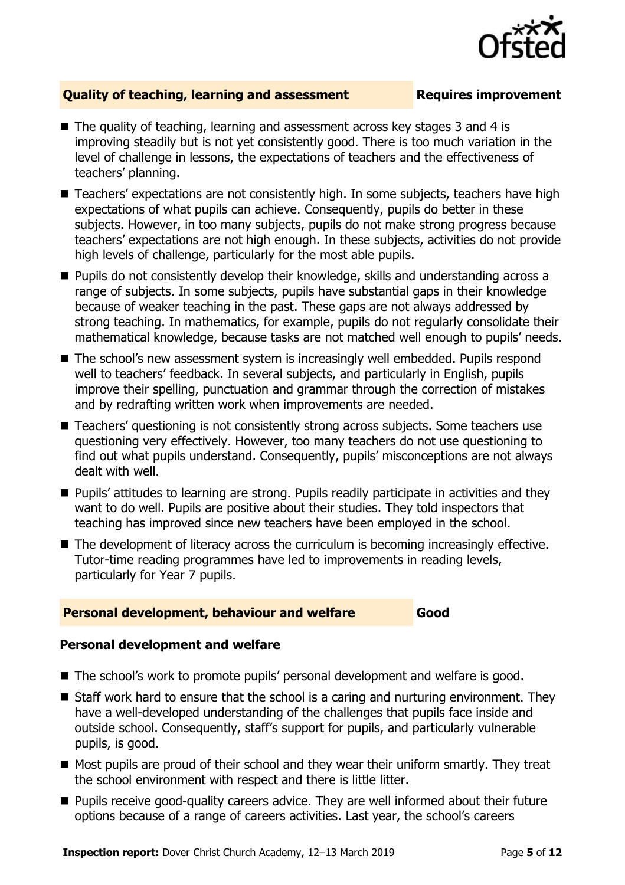

### **Quality of teaching, learning and assessment Fig. 2.1 Requires improvement**

- The quality of teaching, learning and assessment across key stages 3 and 4 is improving steadily but is not yet consistently good. There is too much variation in the level of challenge in lessons, the expectations of teachers and the effectiveness of teachers' planning.
- Teachers' expectations are not consistently high. In some subjects, teachers have high expectations of what pupils can achieve. Consequently, pupils do better in these subjects. However, in too many subjects, pupils do not make strong progress because teachers' expectations are not high enough. In these subjects, activities do not provide high levels of challenge, particularly for the most able pupils.
- **Pupils do not consistently develop their knowledge, skills and understanding across a** range of subjects. In some subjects, pupils have substantial gaps in their knowledge because of weaker teaching in the past. These gaps are not always addressed by strong teaching. In mathematics, for example, pupils do not regularly consolidate their mathematical knowledge, because tasks are not matched well enough to pupils' needs.
- The school's new assessment system is increasingly well embedded. Pupils respond well to teachers' feedback. In several subjects, and particularly in English, pupils improve their spelling, punctuation and grammar through the correction of mistakes and by redrafting written work when improvements are needed.
- Teachers' questioning is not consistently strong across subjects. Some teachers use questioning very effectively. However, too many teachers do not use questioning to find out what pupils understand. Consequently, pupils' misconceptions are not always dealt with well.
- **Pupils' attitudes to learning are strong. Pupils readily participate in activities and they** want to do well. Pupils are positive about their studies. They told inspectors that teaching has improved since new teachers have been employed in the school.
- The development of literacy across the curriculum is becoming increasingly effective. Tutor-time reading programmes have led to improvements in reading levels, particularly for Year 7 pupils.

#### **Personal development, behaviour and welfare Good**

#### **Personal development and welfare**

- The school's work to promote pupils' personal development and welfare is good.
- Staff work hard to ensure that the school is a caring and nurturing environment. They have a well-developed understanding of the challenges that pupils face inside and outside school. Consequently, staff's support for pupils, and particularly vulnerable pupils, is good.
- Most pupils are proud of their school and they wear their uniform smartly. They treat the school environment with respect and there is little litter.
- **Pupils receive good-quality careers advice. They are well informed about their future** options because of a range of careers activities. Last year, the school's careers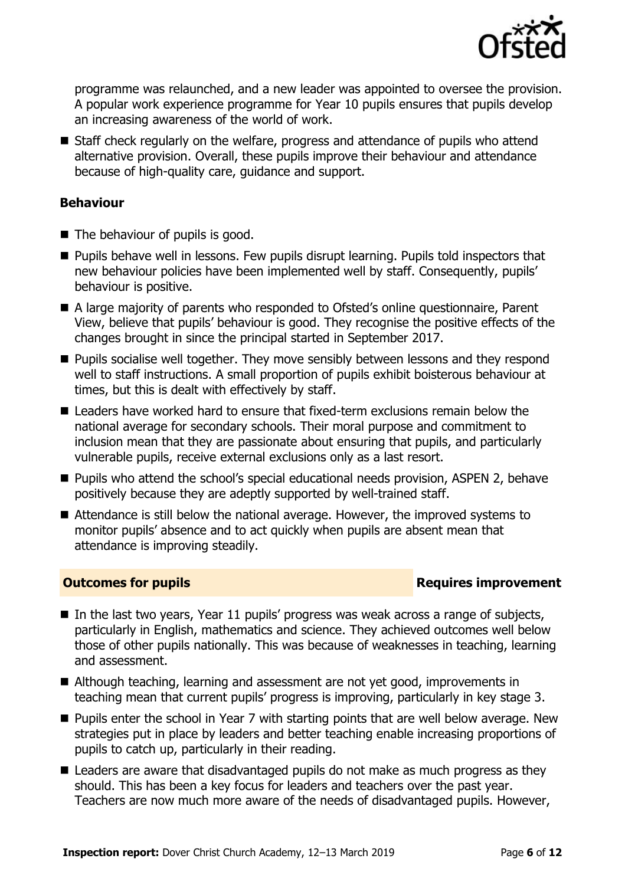

programme was relaunched, and a new leader was appointed to oversee the provision. A popular work experience programme for Year 10 pupils ensures that pupils develop an increasing awareness of the world of work.

■ Staff check regularly on the welfare, progress and attendance of pupils who attend alternative provision. Overall, these pupils improve their behaviour and attendance because of high-quality care, guidance and support.

### **Behaviour**

- $\blacksquare$  The behaviour of pupils is good.
- **Pupils behave well in lessons. Few pupils disrupt learning. Pupils told inspectors that** new behaviour policies have been implemented well by staff. Consequently, pupils' behaviour is positive.
- A large majority of parents who responded to Ofsted's online questionnaire, Parent View, believe that pupils' behaviour is good. They recognise the positive effects of the changes brought in since the principal started in September 2017.
- **Pupils socialise well together. They move sensibly between lessons and they respond** well to staff instructions. A small proportion of pupils exhibit boisterous behaviour at times, but this is dealt with effectively by staff.
- Leaders have worked hard to ensure that fixed-term exclusions remain below the national average for secondary schools. Their moral purpose and commitment to inclusion mean that they are passionate about ensuring that pupils, and particularly vulnerable pupils, receive external exclusions only as a last resort.
- Pupils who attend the school's special educational needs provision, ASPEN 2, behave positively because they are adeptly supported by well-trained staff.
- Attendance is still below the national average. However, the improved systems to monitor pupils' absence and to act quickly when pupils are absent mean that attendance is improving steadily.

#### **Outcomes for pupils Requires improvement**

- In the last two years, Year 11 pupils' progress was weak across a range of subjects, particularly in English, mathematics and science. They achieved outcomes well below those of other pupils nationally. This was because of weaknesses in teaching, learning and assessment.
- Although teaching, learning and assessment are not yet good, improvements in teaching mean that current pupils' progress is improving, particularly in key stage 3.
- **Pupils enter the school in Year 7 with starting points that are well below average. New** strategies put in place by leaders and better teaching enable increasing proportions of pupils to catch up, particularly in their reading.
- Leaders are aware that disadvantaged pupils do not make as much progress as they should. This has been a key focus for leaders and teachers over the past year. Teachers are now much more aware of the needs of disadvantaged pupils. However,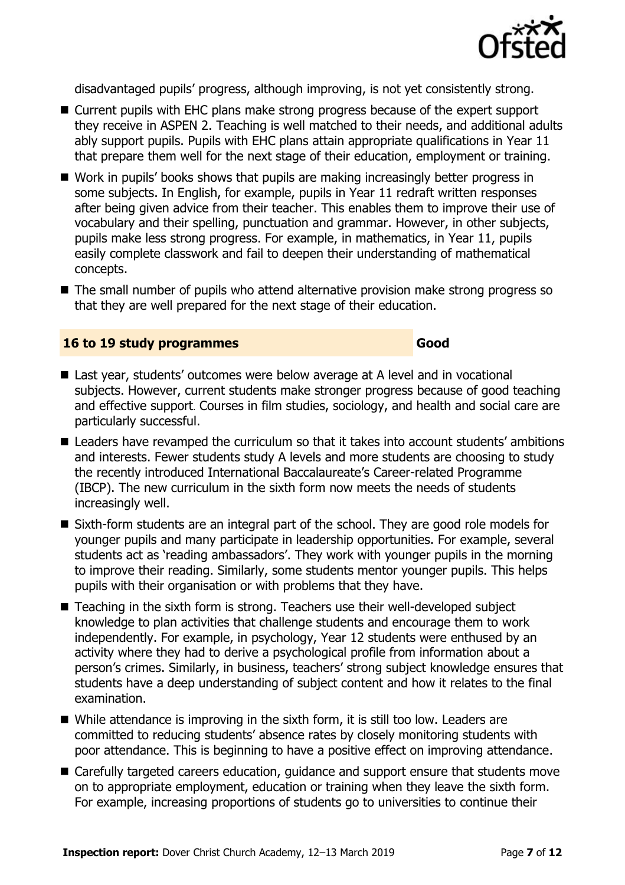

disadvantaged pupils' progress, although improving, is not yet consistently strong.

- Current pupils with EHC plans make strong progress because of the expert support they receive in ASPEN 2. Teaching is well matched to their needs, and additional adults ably support pupils. Pupils with EHC plans attain appropriate qualifications in Year 11 that prepare them well for the next stage of their education, employment or training.
- Work in pupils' books shows that pupils are making increasingly better progress in some subjects. In English, for example, pupils in Year 11 redraft written responses after being given advice from their teacher. This enables them to improve their use of vocabulary and their spelling, punctuation and grammar. However, in other subjects, pupils make less strong progress. For example, in mathematics, in Year 11, pupils easily complete classwork and fail to deepen their understanding of mathematical concepts.
- The small number of pupils who attend alternative provision make strong progress so that they are well prepared for the next stage of their education.

#### **16 to 19 study programmes Good**

- Last year, students' outcomes were below average at A level and in vocational subjects. However, current students make stronger progress because of good teaching and effective support. Courses in film studies, sociology, and health and social care are particularly successful.
- Leaders have revamped the curriculum so that it takes into account students' ambitions and interests. Fewer students study A levels and more students are choosing to study the recently introduced International Baccalaureate's Career-related Programme (IBCP). The new curriculum in the sixth form now meets the needs of students increasingly well.
- Sixth-form students are an integral part of the school. They are good role models for younger pupils and many participate in leadership opportunities. For example, several students act as 'reading ambassadors'. They work with younger pupils in the morning to improve their reading. Similarly, some students mentor younger pupils. This helps pupils with their organisation or with problems that they have.
- Teaching in the sixth form is strong. Teachers use their well-developed subject knowledge to plan activities that challenge students and encourage them to work independently. For example, in psychology, Year 12 students were enthused by an activity where they had to derive a psychological profile from information about a person's crimes. Similarly, in business, teachers' strong subject knowledge ensures that students have a deep understanding of subject content and how it relates to the final examination.
- While attendance is improving in the sixth form, it is still too low. Leaders are committed to reducing students' absence rates by closely monitoring students with poor attendance. This is beginning to have a positive effect on improving attendance.
- Carefully targeted careers education, guidance and support ensure that students move on to appropriate employment, education or training when they leave the sixth form. For example, increasing proportions of students go to universities to continue their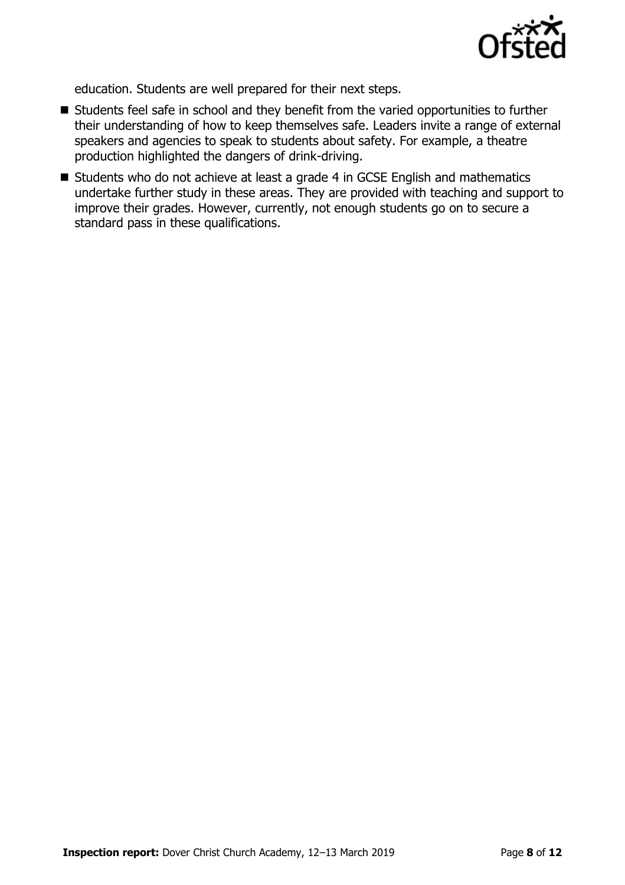

education. Students are well prepared for their next steps.

- Students feel safe in school and they benefit from the varied opportunities to further their understanding of how to keep themselves safe. Leaders invite a range of external speakers and agencies to speak to students about safety. For example, a theatre production highlighted the dangers of drink-driving.
- Students who do not achieve at least a grade 4 in GCSE English and mathematics undertake further study in these areas. They are provided with teaching and support to improve their grades. However, currently, not enough students go on to secure a standard pass in these qualifications.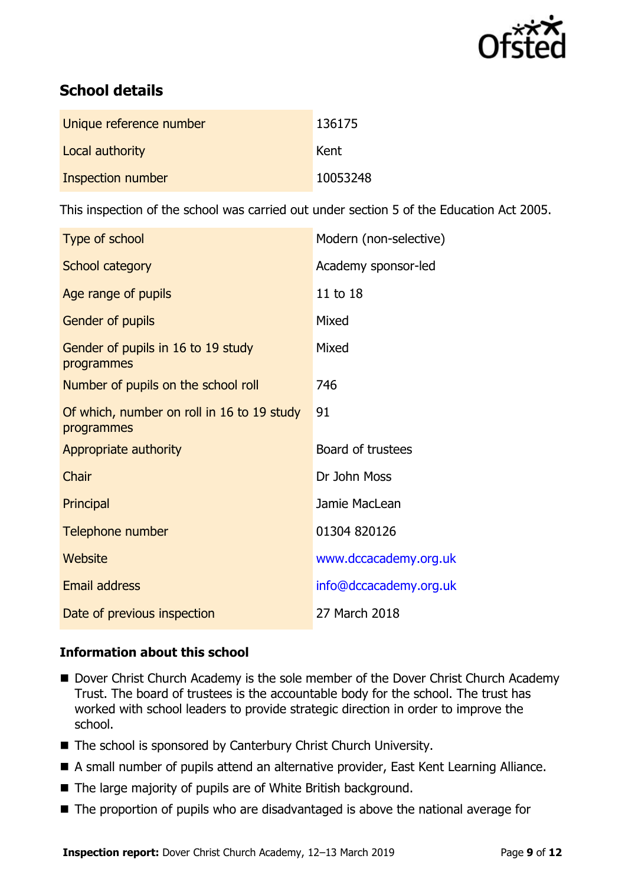

# **School details**

| Unique reference number | 136175   |
|-------------------------|----------|
| Local authority         | Kent     |
| Inspection number       | 10053248 |

This inspection of the school was carried out under section 5 of the Education Act 2005.

| Type of school                                           | Modern (non-selective) |
|----------------------------------------------------------|------------------------|
| School category                                          | Academy sponsor-led    |
| Age range of pupils                                      | 11 to 18               |
| Gender of pupils                                         | Mixed                  |
| Gender of pupils in 16 to 19 study<br>programmes         | Mixed                  |
| Number of pupils on the school roll                      | 746                    |
| Of which, number on roll in 16 to 19 study<br>programmes | 91                     |
| Appropriate authority                                    | Board of trustees      |
| Chair                                                    | Dr John Moss           |
| Principal                                                | Jamie MacLean          |
| Telephone number                                         | 01304 820126           |
| Website                                                  | www.dccacademy.org.uk  |
| Email address                                            | info@dccacademy.org.uk |
| Date of previous inspection                              | 27 March 2018          |

#### **Information about this school**

- Dover Christ Church Academy is the sole member of the Dover Christ Church Academy Trust. The board of trustees is the accountable body for the school. The trust has worked with school leaders to provide strategic direction in order to improve the school.
- The school is sponsored by Canterbury Christ Church University.
- A small number of pupils attend an alternative provider, East Kent Learning Alliance.
- The large majority of pupils are of White British background.
- The proportion of pupils who are disadvantaged is above the national average for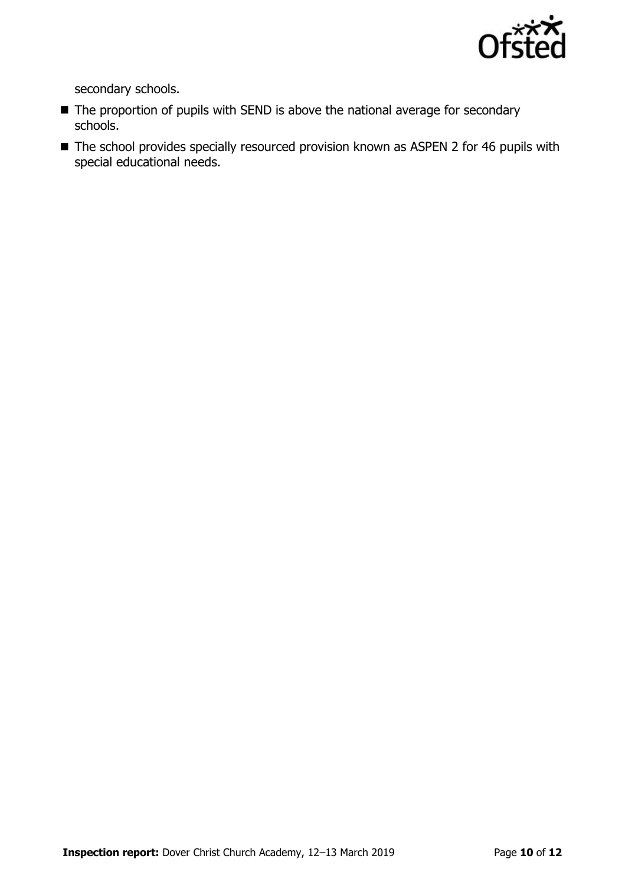

secondary schools.

- The proportion of pupils with SEND is above the national average for secondary schools.
- The school provides specially resourced provision known as ASPEN 2 for 46 pupils with special educational needs.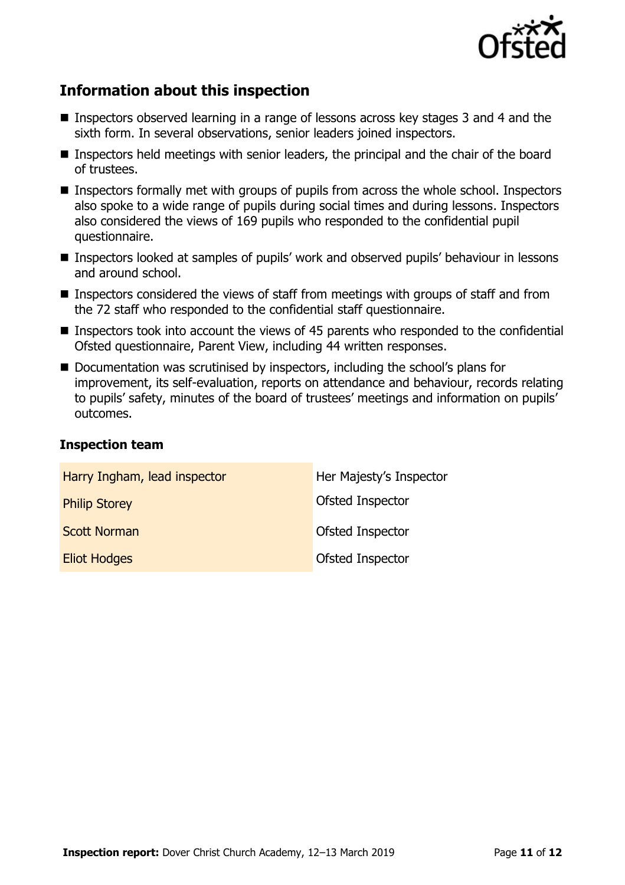

# **Information about this inspection**

- Inspectors observed learning in a range of lessons across key stages 3 and 4 and the sixth form. In several observations, senior leaders joined inspectors.
- **Inspectors held meetings with senior leaders, the principal and the chair of the board** of trustees.
- Inspectors formally met with groups of pupils from across the whole school. Inspectors also spoke to a wide range of pupils during social times and during lessons. Inspectors also considered the views of 169 pupils who responded to the confidential pupil questionnaire.
- Inspectors looked at samples of pupils' work and observed pupils' behaviour in lessons and around school.
- Inspectors considered the views of staff from meetings with groups of staff and from the 72 staff who responded to the confidential staff questionnaire.
- Inspectors took into account the views of 45 parents who responded to the confidential Ofsted questionnaire, Parent View, including 44 written responses.
- Documentation was scrutinised by inspectors, including the school's plans for improvement, its self-evaluation, reports on attendance and behaviour, records relating to pupils' safety, minutes of the board of trustees' meetings and information on pupils' outcomes.

#### **Inspection team**

| Harry Ingham, lead inspector | Her Majesty's Inspector |
|------------------------------|-------------------------|
| <b>Philip Storey</b>         | Ofsted Inspector        |
| <b>Scott Norman</b>          | Ofsted Inspector        |
| <b>Eliot Hodges</b>          | Ofsted Inspector        |